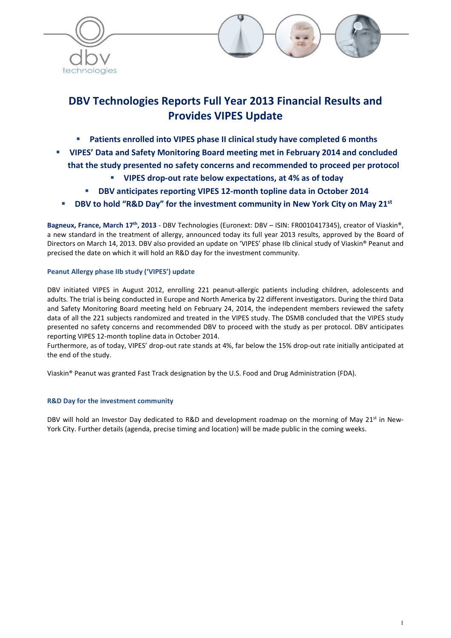



 $\Box$ 

# DBV Technologies Reports Full Year 2013 Financial Results and Provides VIPES Update

- Patients enrolled into VIPES phase II clinical study have completed 6 months
- VIPES' Data and Safety Monitoring Board meeting met in February 2014 and concluded that the study presented no safety concerns and recommended to proceed per protocol
	- VIPES drop-out rate below expectations, at 4% as of today
	- DBV anticipates reporting VIPES 12-month topline data in October 2014
- **DBV to hold "R&D Day" for the investment community in New York City on May 21st**

Bagneux, France, March 17<sup>th</sup>, 2013 - DBV Technologies (Euronext: DBV – ISIN: FR0010417345), creator of Viaskin®, a new standard in the treatment of allergy, announced today its full year 2013 results, approved by the Board of Directors on March 14, 2013. DBV also provided an update on 'VIPES' phase IIb clinical study of Viaskin® Peanut and precised the date on which it will hold an R&D day for the investment community.

# Peanut Allergy phase IIb study ('VIPES') update

DBV initiated VIPES in August 2012, enrolling 221 peanut-allergic patients including children, adolescents and adults. The trial is being conducted in Europe and North America by 22 different investigators. During the third Data and Safety Monitoring Board meeting held on February 24, 2014, the independent members reviewed the safety data of all the 221 subjects randomized and treated in the VIPES study. The DSMB concluded that the VIPES study presented no safety concerns and recommended DBV to proceed with the study as per protocol. DBV anticipates reporting VIPES 12-month topline data in October 2014.

Furthermore, as of today, VIPES' drop-out rate stands at 4%, far below the 15% drop-out rate initially anticipated at the end of the study.

Viaskin® Peanut was granted Fast Track designation by the U.S. Food and Drug Administration (FDA).

# R&D Day for the investment community

DBV will hold an Investor Day dedicated to R&D and development roadmap on the morning of May 21<sup>st</sup> in New-York City. Further details (agenda, precise timing and location) will be made public in the coming weeks.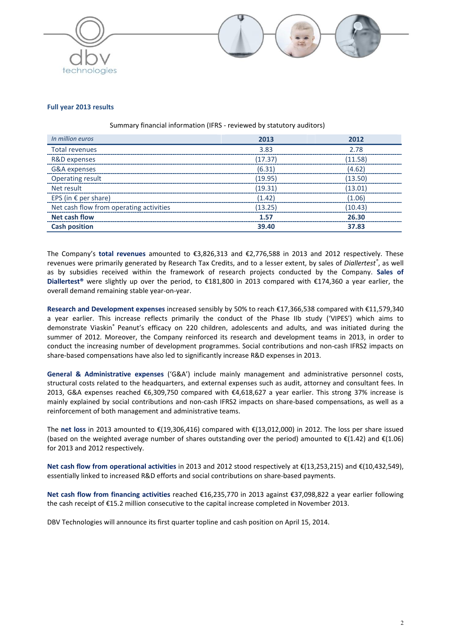



## Full year 2013 results

### Summary financial information (IFRS - reviewed by statutory auditors)

| In million euros                        | 2013    | 2012    |
|-----------------------------------------|---------|---------|
| Total revenues                          | 3.83    | 2.78    |
| R&D expenses                            | (17.37) | (11.58) |
| G&A expenses                            | (6.31)  | (4.62)  |
| <b>Operating result</b>                 | (19.95) | (13.50) |
| Net result                              | (19.31) | (13.01) |
| EPS (in $\epsilon$ per share)           | (1.42)  | (1.06)  |
| Net cash flow from operating activities | (13.25) | (10.43) |
| <b>Net cash flow</b>                    | 1.57    | 26.30   |
| <b>Cash position</b>                    | 39.40   | 37.83   |

The Company's total revenues amounted to €3,826,313 and €2,776,588 in 2013 and 2012 respectively. These revenues were primarily generated by Research Tax Credits, and to a lesser extent, by sales of *Diallertest®*, as well as by subsidies received within the framework of research projects conducted by the Company. Sales of Diallertest® were slightly up over the period, to €181,800 in 2013 compared with €174,360 a year earlier, the overall demand remaining stable year-on-year.

Research and Development expenses increased sensibly by 50% to reach €17,366,538 compared with €11,579,340 a year earlier. This increase reflects primarily the conduct of the Phase IIb study ('VIPES') which aims to demonstrate Viaskin® Peanut's efficacy on 220 children, adolescents and adults, and was initiated during the summer of 2012. Moreover, the Company reinforced its research and development teams in 2013, in order to conduct the increasing number of development programmes. Social contributions and non-cash IFRS2 impacts on share-based compensations have also led to significantly increase R&D expenses in 2013.

General & Administrative expenses ('G&A') include mainly management and administrative personnel costs, structural costs related to the headquarters, and external expenses such as audit, attorney and consultant fees. In 2013, G&A expenses reached €6,309,750 compared with €4,618,627 a year earlier. This strong 37% increase is mainly explained by social contributions and non-cash IFRS2 impacts on share-based compensations, as well as a reinforcement of both management and administrative teams.

The net loss in 2013 amounted to €(19,306,416) compared with €(13,012,000) in 2012. The loss per share issued (based on the weighted average number of shares outstanding over the period) amounted to €(1.42) and €(1.06) for 2013 and 2012 respectively.

Net cash flow from operational activities in 2013 and 2012 stood respectively at €(13,253,215) and €(10,432,549), essentially linked to increased R&D efforts and social contributions on share-based payments.

Net cash flow from financing activities reached €16,235,770 in 2013 against €37,098,822 a year earlier following the cash receipt of €15.2 million consecutive to the capital increase completed in November 2013.

DBV Technologies will announce its first quarter topline and cash position on April 15, 2014.